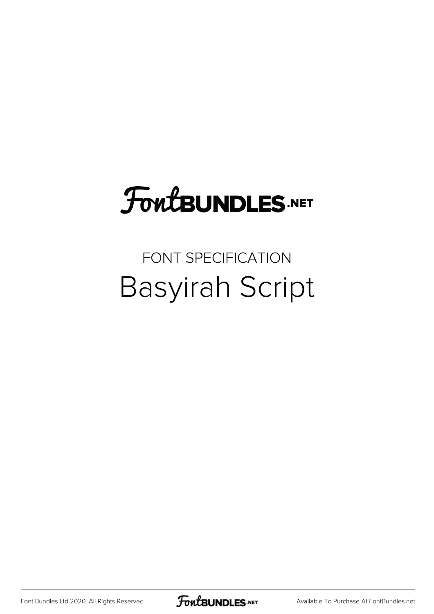# FoutBUNDLES.NET

# FONT SPECIFICATION Basyirah Script

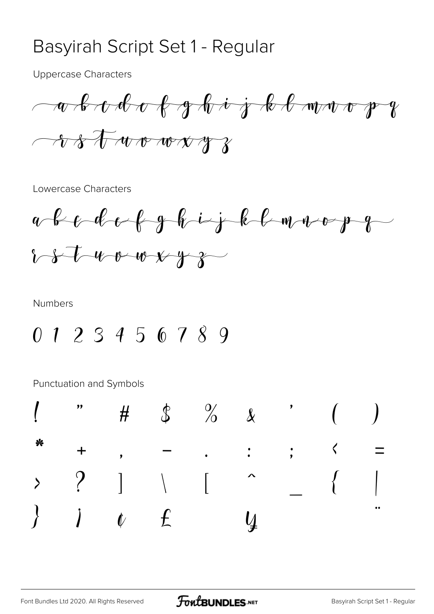#### Basyirah Script Set 1 - Regular

**Uppercase Characters** 

Lowercase Characters



**Numbers** 

0 1 2 3 4 5 6 7 8 9

|  |  | $\begin{array}{ccccccccccccc} 1 & & n & & \# & & \& & & \frac{3}{6} & & \frac{9}{6} & & \& & & & \end{array}$ ( )                                                                                                                                                                                                                                                                                                                                     |  |  |
|--|--|-------------------------------------------------------------------------------------------------------------------------------------------------------------------------------------------------------------------------------------------------------------------------------------------------------------------------------------------------------------------------------------------------------------------------------------------------------|--|--|
|  |  | * + , - , : ; $\zeta$ =                                                                                                                                                                                                                                                                                                                                                                                                                               |  |  |
|  |  |                                                                                                                                                                                                                                                                                                                                                                                                                                                       |  |  |
|  |  | $\begin{array}{ccccccccc} \rangle & ? & ] & \wedge & [ & ^{\wedge} & & [ & & ] \ \rangle & & j & & f & & \mathbf{x} & & \mathbf{y} & & \mathbf{y} & & \mathbf{y} & & \mathbf{y} & & \mathbf{y} & & \mathbf{y} & & \mathbf{y} & & \mathbf{y} & & \mathbf{y} & & \mathbf{y} & & \mathbf{y} & & \mathbf{y} & & \mathbf{y} & & \mathbf{y} & & \mathbf{y} & & \mathbf{y} & & \mathbf{y} & & \mathbf{y} & & \mathbf{y} & & \mathbf{y} & & \mathbf{y} & & \$ |  |  |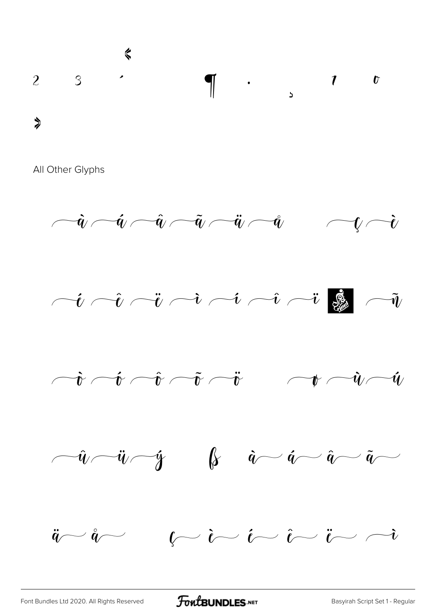











[Font Bundles Ltd 2020. All Rights Reserved](https://fontbundles.net/) **FoutBUNDLES.NET** [Basyirah Script Set 1 - Regular](https://fontbundles.net/)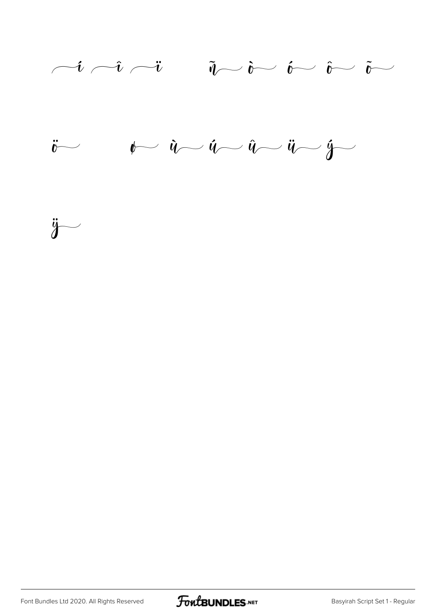





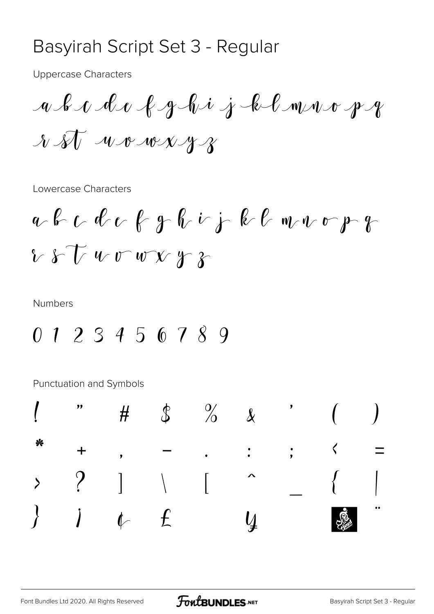#### Basyirah Script Set 3 - Regular

**Uppercase Characters** 

Lowercase Characters

$$
a \cdot b \cdot c \cdot d \cdot e \cdot f \cdot g \cdot b \cdot j \cdot b \cdot e \cdot w \cdot v \cdot p \cdot g
$$
  
8. 8.  $U \cdot w \cdot w \cdot y \cdot g$ 

**Numbers** 

0 1 2 3 4 5 6 7 8 9

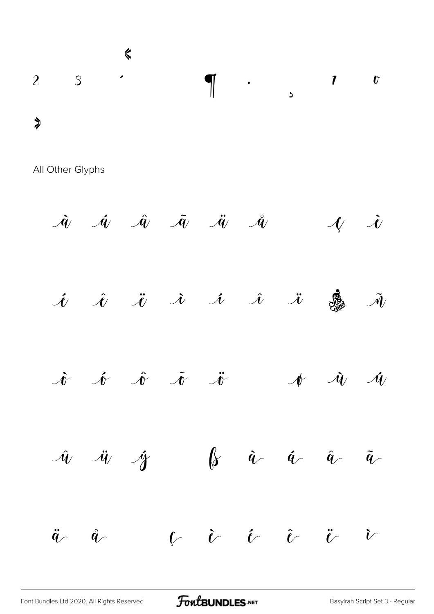

 $\dot{a}$   $\dot{a}$   $\ddot{a}$   $\ddot{a}$   $\ddot{a}$   $\dot{a}$   $\mathcal{H}$   $\dot{c}$  $\hat{\mathcal{U}}$   $\hat{\mathcal{U}}$   $\hat{\mathcal{U}}$   $\hat{\mathcal{U}}$   $\hat{\mathcal{U}}$   $\hat{\mathcal{U}}$   $\hat{\mathcal{U}}$   $\hat{\mathcal{U}}$  $\dot{\mathcal{N}}$   $\dot{\mathcal{N}}$   $\ddot{\mathcal{N}}$   $\ddot{\mathcal{N}}$   $\ddot{\mathcal{N}}$   $\mathcal{N}$   $\dot{\mathcal{N}}$   $\dot{\mathcal{N}}$  $\hat{w}$   $\ddot{w}$   $\acute{w}$   $\beta$   $\dot{a}$   $\dot{a}$   $\ddot{a}$   $\ddot{a}$   $\ddot{a}$  $\ddot{q}$   $\ddot{q}$   $\ddot{q}$   $\ddot{q}$   $\ddot{q}$   $\ddot{q}$   $\ddot{q}$   $\ddot{q}$   $\ddot{q}$   $\ddot{q}$   $\ddot{q}$   $\ddot{q}$   $\ddot{q}$   $\ddot{q}$   $\ddot{q}$   $\ddot{q}$   $\ddot{q}$   $\ddot{q}$   $\ddot{q}$   $\ddot{q}$   $\ddot{q}$   $\ddot{q}$   $\ddot{q}$   $\ddot{q}$   $\ddot{$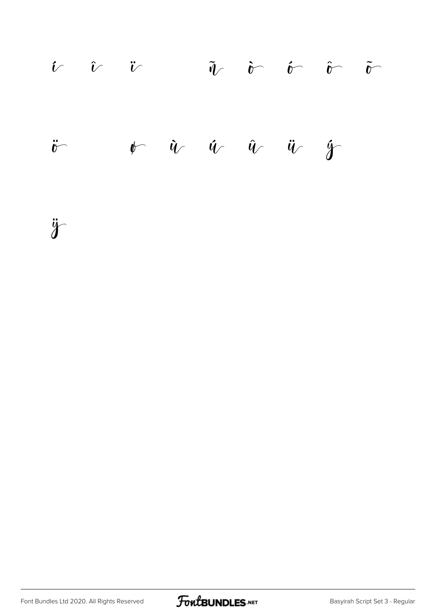

ÿ

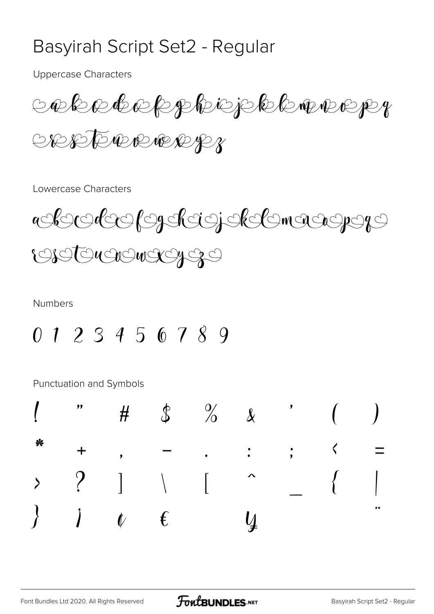## Basyirah Script Set2 - Regular

**Uppercase Characters** 

cekederphejekanery OREFORMERER

Lowercase Characters



**Numbers** 

 $0123456789$ 

|  |  | $\begin{array}{ccccccccccccc} 1 & & n & & \# & & \& & & \frac{3}{6} & & \frac{9}{6} & & \& & & & \end{array}$ ( )                                                      |  |  |
|--|--|------------------------------------------------------------------------------------------------------------------------------------------------------------------------|--|--|
|  |  | * + , - . : ; $\zeta$ =                                                                                                                                                |  |  |
|  |  |                                                                                                                                                                        |  |  |
|  |  | $\begin{array}{ccccccccc} \rangle & ? & ] & \wedge & [ & ^{\wedge} & & [ & & ] \ \rangle & j & \psi & \epsilon & \mathbf{x} & y & \mathbf{i} & \mathbf{S} \end{array}$ |  |  |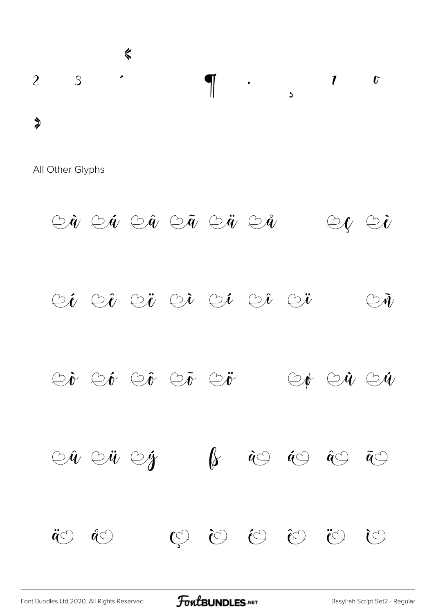

 $\circledcirc \hat{a} \circledcirc \hat{a} \circledcirc \tilde{a} \circledcirc \tilde{a} \circledcirc \hat{a} \mathrel{\mathop{\mathsf{F}}\mathrel{\mathsf{F}}} \circledcirc \iota \circledcirc \tilde{b}$  $\circledcirc\hspace{0.04cm} i$   $\circledcirc\hspace{0.04cm} i$   $\circlearrowright\hspace{0.04cm} i$   $\circlearrowright\hspace{0.04cm} i$   $\circlearrowright\hspace{0.04cm} i$   $\bullet$  $\mathbb{C} \tilde{\mathcal{M}}$  $\circledcirc\!\!\dot\bullet\,\circledcirc\!\!\dot\circ\,\circledcirc\!\!\dot\bullet\,\circledcirc\!\!\dot\bullet\,\circledcirc\!\!\dot\bullet\,\otimes\!\!\dot\bullet\,\circledcirc\!\!\dot\bullet\,\circledcirc\!\!\dot\bullet\,\circledcirc\!\!\dot\bullet\,\circledcirc\!\!\dot\bullet\,\circledcirc$ 

 $\circledcirc \hat{u} \circledcirc \hat{y}$   $\mathsf{P}$   $\&$  $\begin{array}{ccccc} \dot{\alpha}\circlearrowleft & \dot{\alpha}\circlearrowleft & \dot{\alpha}\circlearrowleft & \tilde{\alpha}\circlearrowleft \end{array}$  $\widetilde{C}$ 

**FoutBUNDLES**.NET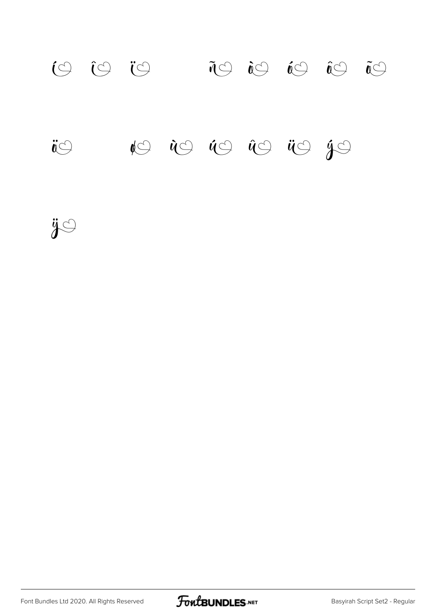# í î ï ñ ò ó ô õ  $\ddot{\mathbf{v}}$   $\ddot{\mathbf{v}}$   $\ddot{\mathbf{v}}$   $\ddot{\mathbf{v}}$   $\ddot{\mathbf{v}}$   $\ddot{\mathbf{v}}$   $\ddot{\mathbf{v}}$   $\ddot{\mathbf{v}}$   $\ddot{\mathbf{v}}$   $\ddot{\mathbf{v}}$   $\ddot{\mathbf{v}}$   $\ddot{\mathbf{v}}$   $\ddot{\mathbf{v}}$

ÿ

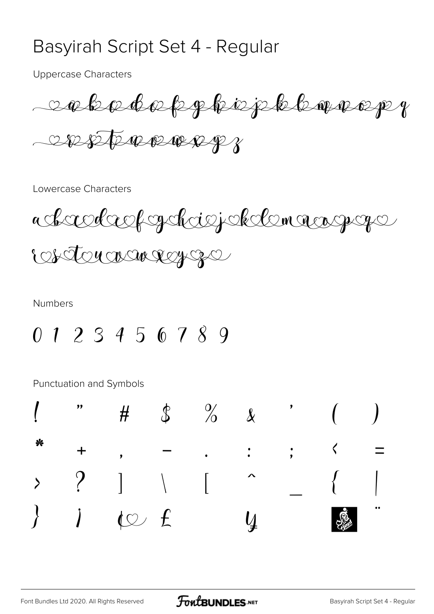#### Basyirah Script Set 4 - Regular

**Uppercase Characters** 

salsadaf phisphilomarep 

Lowercase Characters



**Numbers** 

 $0123456789$ 

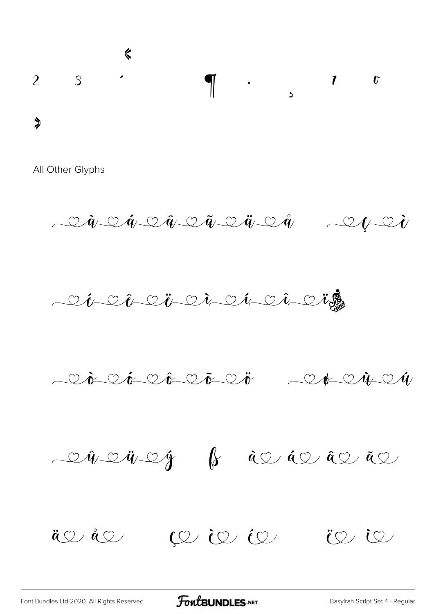

 $\dot{q}$   $\circ$   $\dot{q}$   $\circ$   $\ddot{q}$   $\circ$   $\ddot{q}$   $\ddot{q}$   $\ddot{q}$   $\ddot{q}$   $\ddot{q}$   $\ddot{q}$   $\ddot{q}$ 







ä v å v i v je je v je za v je za če je za i v je za i v je za i v je za i v je za i v je za i v je  $\hat{e}$  i v je za i v je za i v je za i v je za i v je za i v je za i v je za i v je za i v je za i v je za i v je za i v

[Font Bundles Ltd 2020. All Rights Reserved](https://fontbundles.net/) **FoutBUNDLES.NET** [Basyirah Script Set 4 - Regular](https://fontbundles.net/)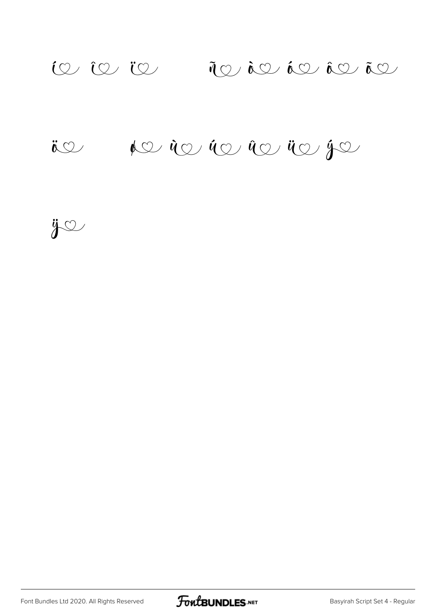# $i\infty$  in  $j\in J$  in  $j\in J$  in  $i\infty$  in

# $\ddot{\textbf{i}} \otimes \div$   $\phi \otimes \dot{\phi} \otimes \dot{\phi} \otimes \dot{\phi} \otimes \phi$

 $\ddot{y}$ 

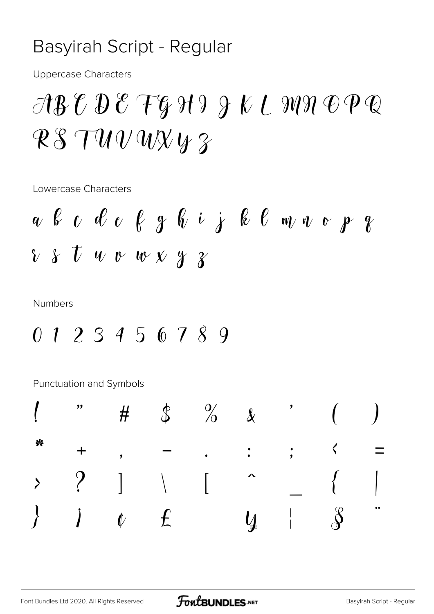## Basyirah Script - Regular

**Uppercase Characters** 

# $\mathcal{A}\mathcal{B}\mathcal{C}\mathcal{D}\mathcal{E}\mathcal{F}\mathcal{G}\mathcal{H}\mathcal{I}\mathcal{J}\mathcal{K}\mathcal{L}\mathcal{M}\mathcal{H}\mathcal{D}\mathcal{P}\mathcal{Q}$  $RSTUVWXY3$

Lowercase Characters

**Numbers** 

0 1 2 3 4 5 6 7 8 9

|  |  | $\begin{pmatrix} 1 & 1 & 1 \\ 1 & 1 & 1 \\ 1 & 1 & 1 \end{pmatrix}$ $\begin{pmatrix} 1 & 1 & 1 \\ 1 & 1 & 1 \\ 1 & 1 & 1 \end{pmatrix}$                     |  |  |
|--|--|-------------------------------------------------------------------------------------------------------------------------------------------------------------|--|--|
|  |  | * + , - , : ; $\zeta$ =                                                                                                                                     |  |  |
|  |  |                                                                                                                                                             |  |  |
|  |  | $\begin{array}{ccccccccc} \rangle & ? & ] & \wedge & [ & ^{\wedge} & ] & [ & & ] \ \rangle & j & \psi & f & \mathbf{X} & y &   & \mathcal{S} & \end{array}$ |  |  |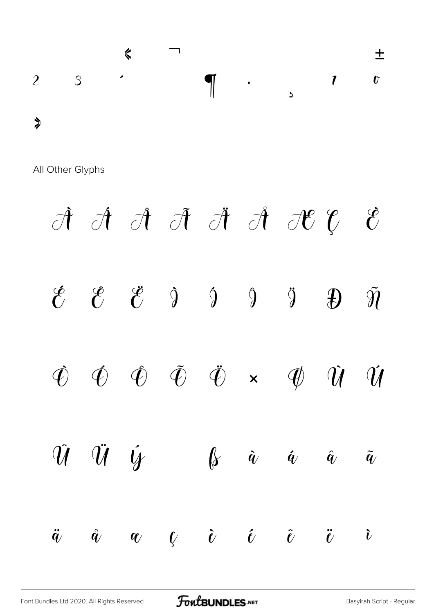

 $\label{eq:10} \hat{\mathcal{A}}\hspace{2mm} \hat{\mathcal{A}}\hspace{2mm} \hat{\mathcal{A}}\hspace{2mm} \hat{\mathcal{A}}\hspace{2mm} \hat{\mathcal{A}}\hspace{2mm} \hat{\mathcal{A}}\hspace{2mm} \hat{\mathcal{A}}\hspace{2mm} \hat{\mathcal{C}}\hspace{2mm}\hat{\mathcal{C}}\hspace{2mm}\hat{\mathcal{C}}\hspace{2mm}$  $\mathcal{C}$  $\begin{array}{ccccc}\n\mathcal{C} & \mathcal{C} & \mathcal{V}\n\end{array}$  $\hat{\mathcal{C}}$  $\hat{Q}$   $\hat{Q}$   $\hat{Q}$  $\overline{\mathcal{L}}$  $\tilde{\mathbf{\eta}}$  $\hat{\mathbf{\Phi}}$   $\hat{\mathbf{\Phi}}$   $\tilde{\mathbf{\Phi}}$   $\hat{\mathbf{\Phi}}$   $\times$   $\mathbf{\Phi}$   $\hat{\mathbf{\mathcal{U}}}$  $\hat{\varphi}$  $\hat{u}$  $\hat{U}$   $\hat{U}$   $\hat{V}$   $\hat{V}$   $\hat{B}$   $\hat{a}$  $\bm{\acute{q}}$  $\hat{q}$  $\tilde{q}$  $\mathring{q}$   $q$   $\mathring{\ell}$   $\mathring{\ell}$   $\mathring{\ell}$   $\mathring{\ell}$   $\mathring{\ell}$  $\ddot{q}$  $\boldsymbol{\tilde{\iota}}$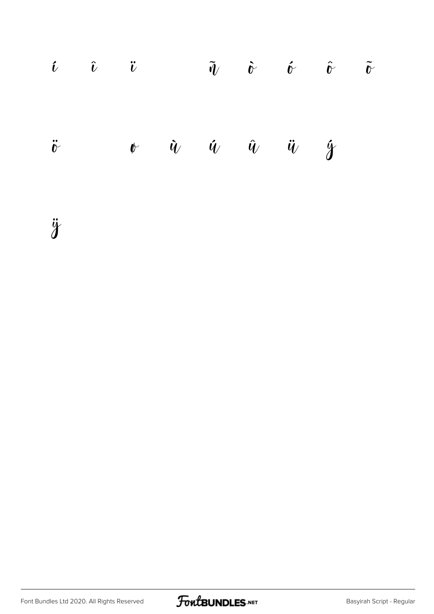|  |  |  | $\hat{u}$ $\hat{u}$ $\hat{v}$ $\hat{d}$ $\hat{u}$ $\hat{v}$ $\hat{v}$ $\hat{v}$ $\hat{v}$ |  |
|--|--|--|-------------------------------------------------------------------------------------------|--|
|  |  |  | $\ddot{v}$ $\dot{v}$ $\dot{v}$ $\dot{u}$ $\dot{u}$ $\ddot{u}$ $\dot{y}$ $\dot{p}$         |  |

ÿ

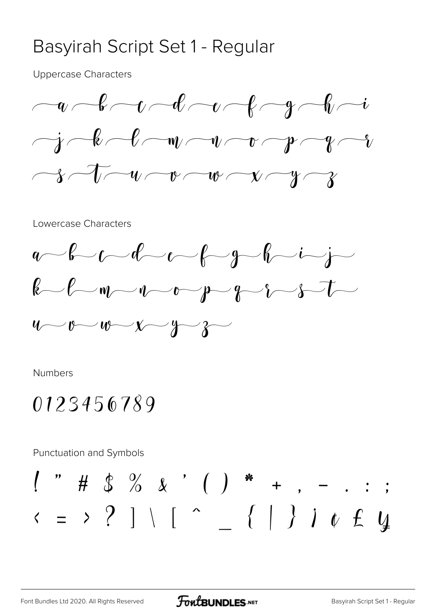#### Basyirah Script Set 1 - Regular

**Uppercase Characters** 



Lowercase Characters



Numbers

# 0123456789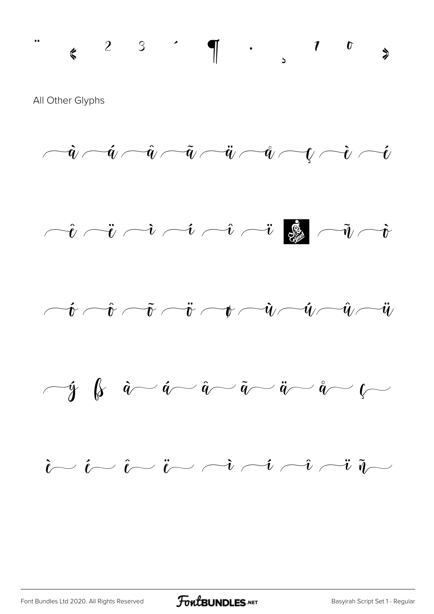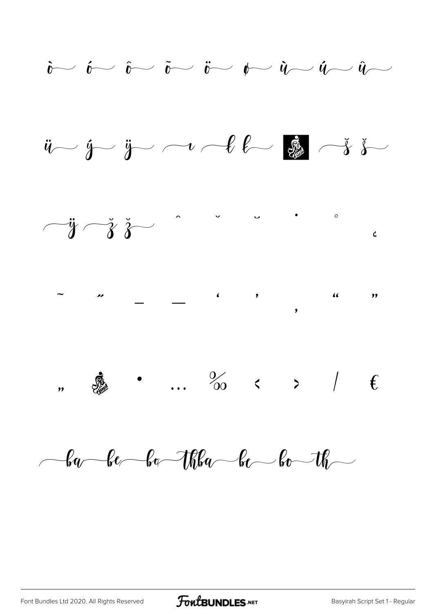

 $-6a$  -be -bo -thba -be -bo -th -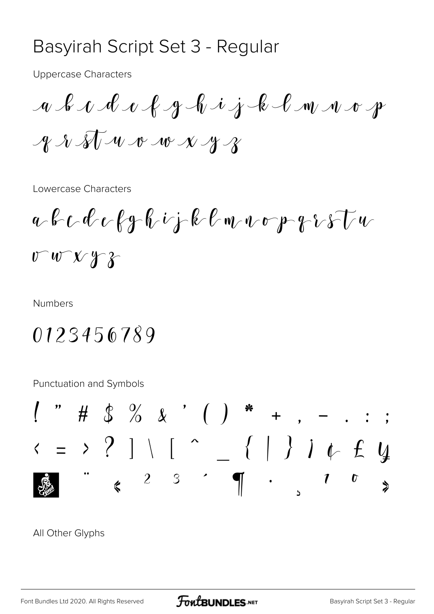#### Basyirah Script Set 3 - Regular

**Uppercase Characters** 

a b c d c f g h i j k l m n o p  $\mathcal{A} \mathcal{A} \mathcal{A} \rightarrow \mathcal{A}$ 

Lowercase Characters

 $U W V Y$ 

**Numbers** 

# 0123456789

Punctuation and Symbols



#### All Other Glyphs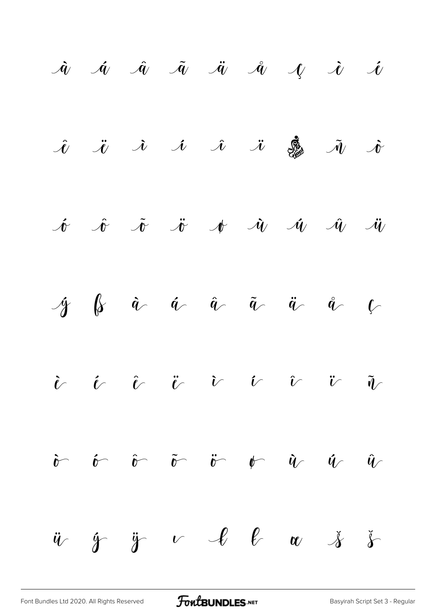

[Font Bundles Ltd 2020. All Rights Reserved](https://fontbundles.net/) **FoutBUNDLES.NET** [Basyirah Script Set 3 - Regular](https://fontbundles.net/)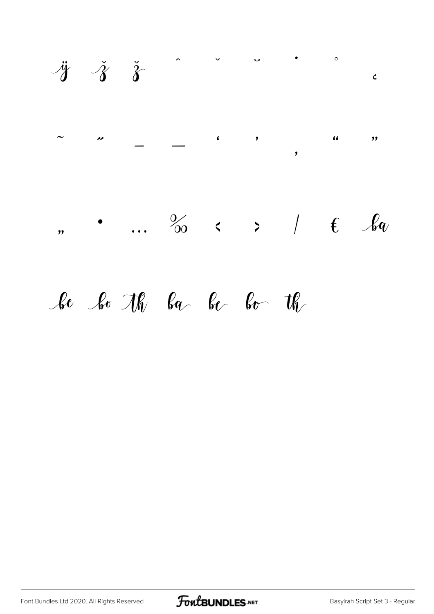

# be bo the backer for the

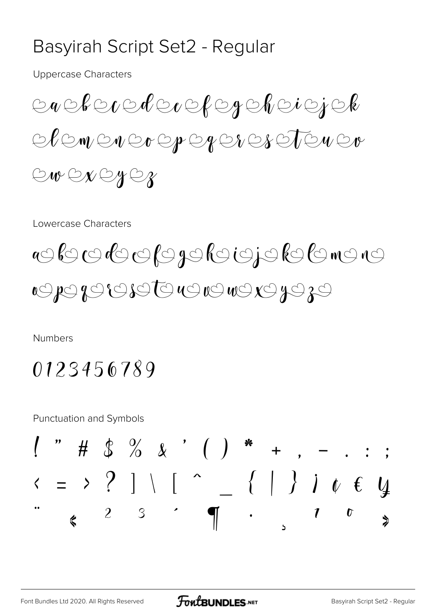## Basyirah Script Set2 - Regular

**Uppercase Characters** 

 $\circledcirc\mathit{R}\circledcirc\mathit{C}\circledcirc\mathit{R}\circledcirc\mathit{R}\circledcirc\mathit{R}\circledcirc\mathit{R}$ ACWENCO OPER ENES TEN ED ONGNOYOR

Lowercase Characters

aclocalogoloigiololomono OPOBOBOTOUOUOUOZOZO

**Numbers** 

0123456789

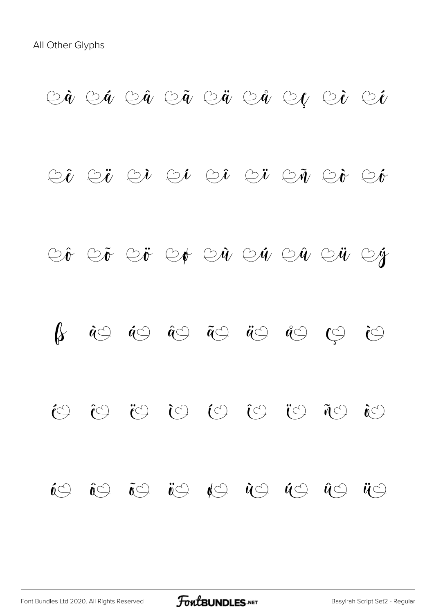#### $\circledcirc \hat{a}$   $\circlearrowright \circledcirc \hat{a}$   $\circlearrowright \circledcirc \hat{a}$   $\circlearrowright \circledcirc \hat{a}$   $\circlearrowright \circledcirc \hat{b}$

#### $\circledcirc \hat{t}$   $\circlearrowright \circledcirc \hat{t}$   $\circlearrowright \circledcirc \hat{t}$   $\circlearrowright \circledcirc \hat{t}$

# CÊ CẾ CỬ CẢ CẢ CÁ CẢ CỬ CÝ

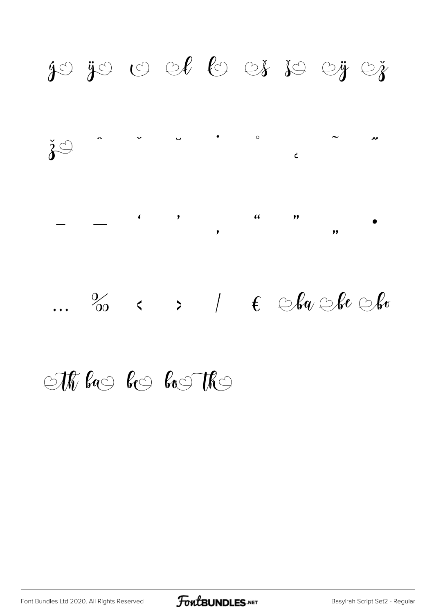

# $\bigcirc$ Th ba $\circ$  be boother

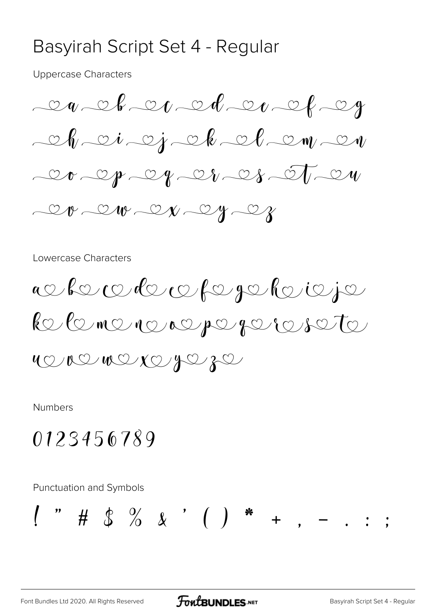#### Basyirah Script Set 4 - Regular

**Uppercase Characters** 



Lowercase Characters



Numbers

# 0123456789

**Punctuation and Symbols**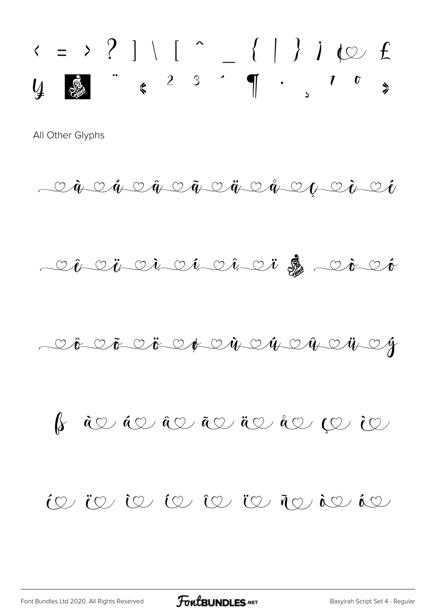$\begin{array}{ccc} \leftarrow & \rightarrow & ? & \left. \right] \left. \right. \left. \right. \left. \right. \left. \left. \right. \right. & \left. \left. \right. & - \left. \left. \left. \right. \right| \right. & \left. \left. \right. & \left. \right. & \left. \left. \right. & \left. \right. & \left. \right. & \left. \right. & \left. \right. & \left. \right. & \left. \right. & \left. \right. & \left. \right. & \left. \right. & \left. \right. & \left. \right. & \left. \right. & \left. \right. & \left. & \right. & \left. & \right. & \left.$ 

 $\begin{array}{l} \begin{array}{l} \begin{array}{l} \mathfrak{L} \\ \mathfrak{L} \end{array} & \mathfrak{L} \end{array} & \mathfrak{L} \end{array} & \mathfrak{L} \end{array} & \mathfrak{L} \end{array} & \mathfrak{L} \end{array} & \mathfrak{L} \end{array} & \mathfrak{L} \end{array} \\ \begin{array}{l} \mathfrak{L} \end{array} & \mathfrak{L} \end{array} \\ \begin{array}{l} \mathfrak{L} \end{array} & \mathfrak{L} \end{array}$ 

Chenai ci ci ci di dicco

Cô Cô Cô Co Ch Cù Cú Cù Cù Cy

 $\int_{\mathcal{S}}$  and an and an and an angle in  $\int_{\mathcal{S}}$ 

#### $\omega$  is the term in the term is the set of  $\omega$

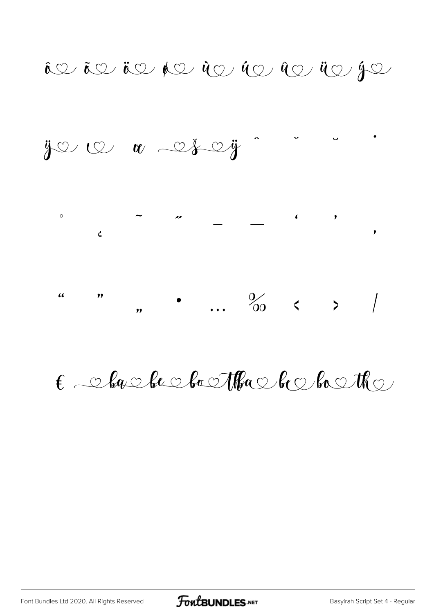$\hat{\mathfrak{g}}$  and  $\hat{\mathfrak{g}}$  and  $\hat{\mathfrak{g}}$  and  $\hat{\mathfrak{g}}$  and  $\hat{\mathfrak{g}}$  and  $\hat{\mathfrak{g}}$  and  $\hat{\mathfrak{g}}$  and  $\hat{\mathfrak{g}}$  and  $\hat{\mathfrak{g}}$ 



# $\epsilon$  aborded both the booth a

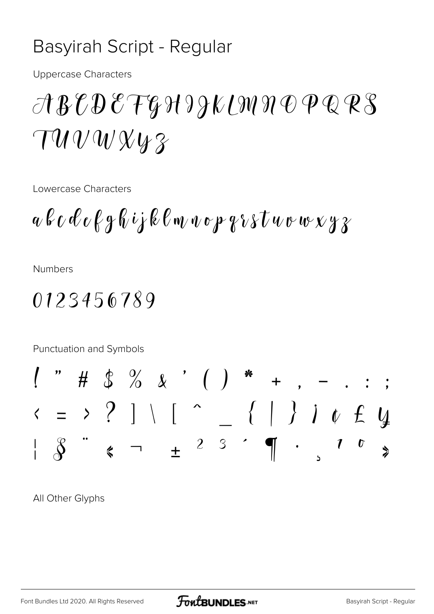## Basyirah Script - Regular

**Uppercase Characters** 

# $\mathcal{A}\mathcal{B}\mathcal{C}\mathcal{D}\mathcal{E}\mathcal{T}\mathcal{G}\mathcal{H}\mathcal{H}\mathcal{H}\mathcal{U}\mathcal{H}\mathcal{D}\mathcal{D}\mathcal{Q}\mathcal{R}\mathcal{S}$  $\tau u v w x y z$

Lowercase Characters

 $a \& c \& c \& g \& i \& \& c \wedge w \& c \& g \& v \& t \& w \& w \& g \& g$ 

**Numbers** 

## 0123456789

Punctuation and Symbols

All Other Glyphs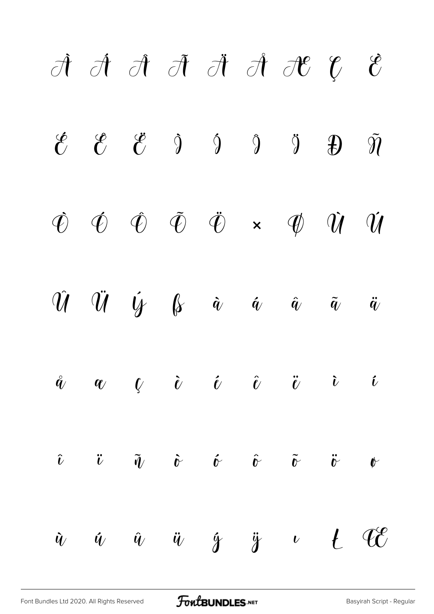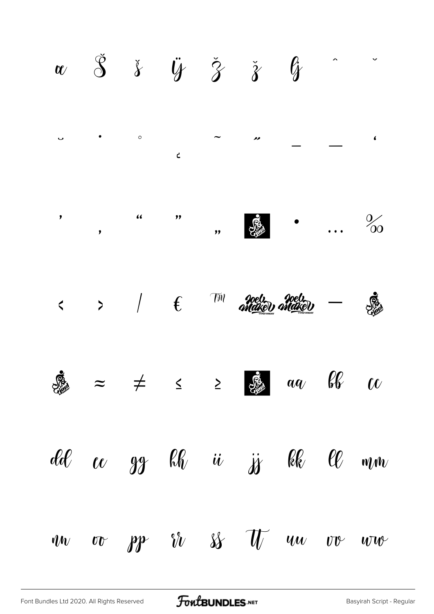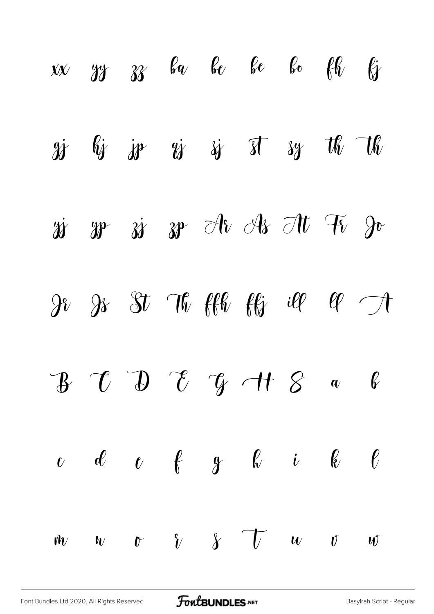|  |  | $x \times y$ yy $z \times y$ be be be $\ell \ell$ by                                                                                                                                                                                                                                                                                                                                                                                                                |  |  |
|--|--|---------------------------------------------------------------------------------------------------------------------------------------------------------------------------------------------------------------------------------------------------------------------------------------------------------------------------------------------------------------------------------------------------------------------------------------------------------------------|--|--|
|  |  | gj lij je gj sj st sy th th                                                                                                                                                                                                                                                                                                                                                                                                                                         |  |  |
|  |  | 28 28 38 38 Ar As At Fi Jo                                                                                                                                                                                                                                                                                                                                                                                                                                          |  |  |
|  |  | $9$ $3$ $3$ $10$ $10$ $10$ $10$ $10$ $11$                                                                                                                                                                                                                                                                                                                                                                                                                           |  |  |
|  |  | $\begin{array}{cccccccccccccc} & & & & & & \mathcal{B} & \mathcal{C} & \mathcal{D} & \mathcal{C} & \mathcal{C} & \mathcal{C} & \mathcal{C} & \mathcal{A} & \mathcal{C} & \mathcal{A} & \mathcal{C} & \mathcal{A} & \mathcal{C} & \mathcal{A} & \mathcal{C} & \mathcal{A} & \mathcal{A} & \mathcal{A} & \mathcal{A} & \mathcal{A} & \mathcal{A} & \mathcal{A} & \mathcal{A} & \mathcal{A} & \mathcal{A} & \mathcal{A} & \mathcal{A} & \mathcal{A} & \mathcal{A} & \$ |  |  |
|  |  | $c$ d $c$ f $g$ h i k $\ell$                                                                                                                                                                                                                                                                                                                                                                                                                                        |  |  |
|  |  | $w \quad w \quad v \quad \gamma \quad \gamma \quad \delta \quad \gamma \quad w \quad \delta \quad w$                                                                                                                                                                                                                                                                                                                                                                |  |  |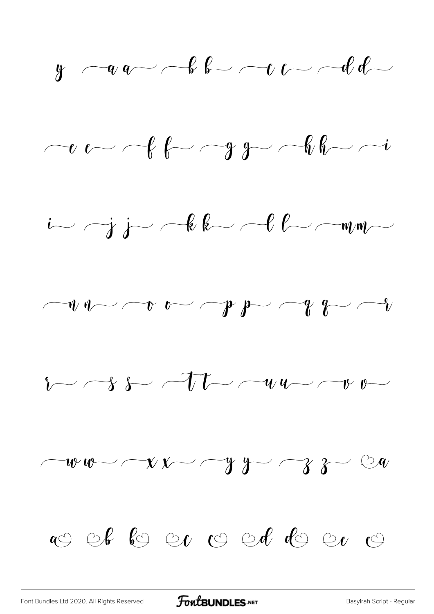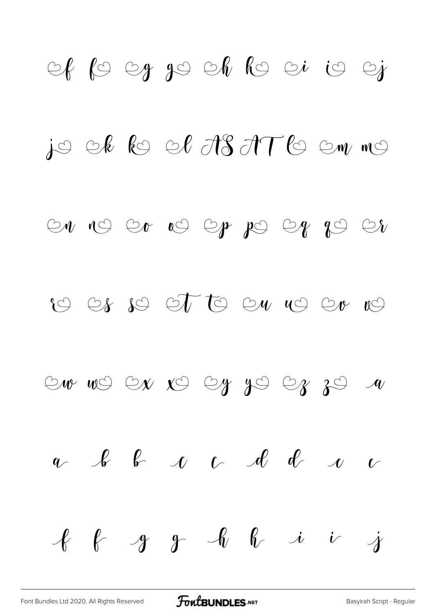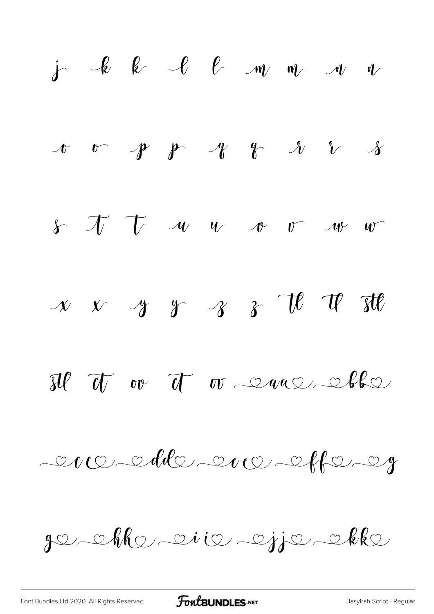